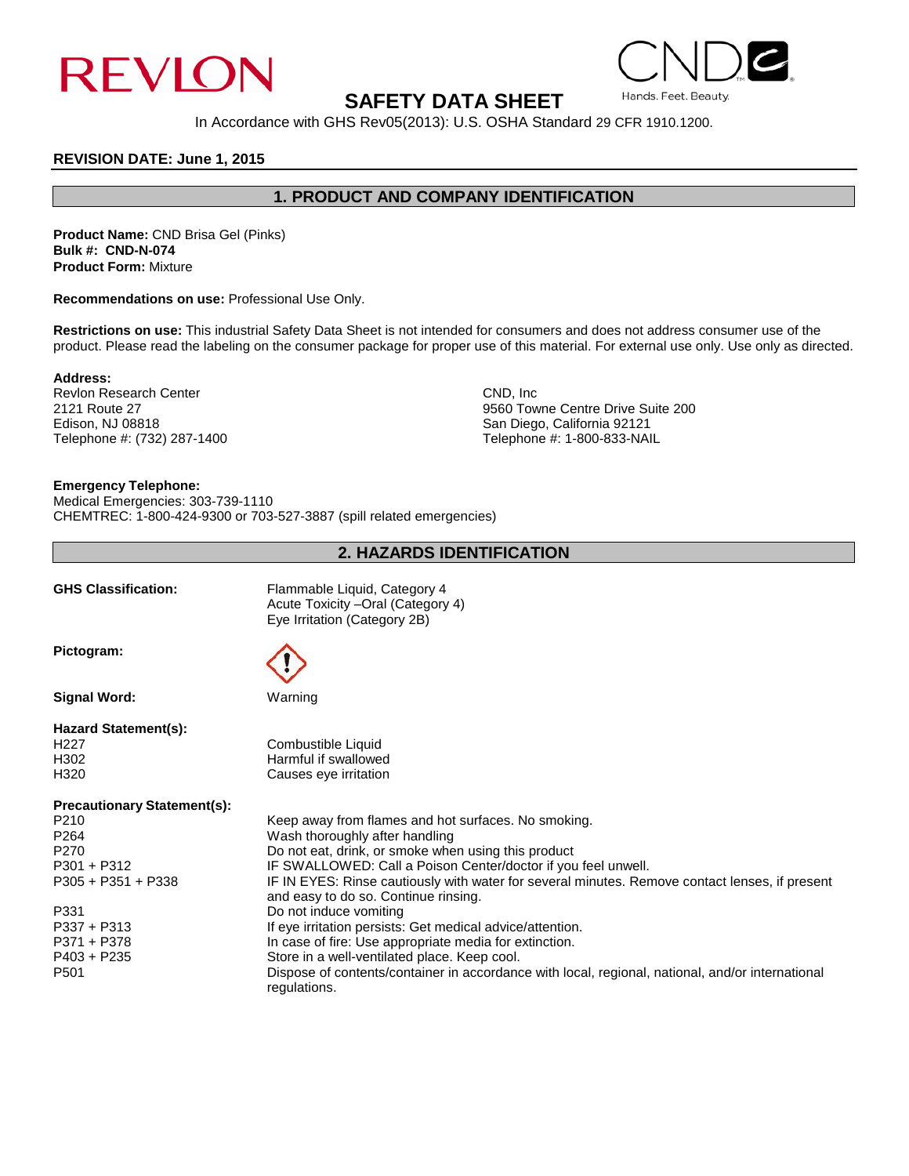

# **SAFETY DATA SHEET**

# In Accordance with GHS Rev05(2013): U.S. OSHA Standard 29 CFR 1910.1200.

### **REVISION DATE: June 1, 2015**

# **1. PRODUCT AND COMPANY IDENTIFICATION**

**Product Name:** CND Brisa Gel (Pinks) **Bulk #: CND-N-074 Product Form:** Mixture

**Recommendations on use:** Professional Use Only.

**Restrictions on use:** This industrial Safety Data Sheet is not intended for consumers and does not address consumer use of the product. Please read the labeling on the consumer package for proper use of this material. For external use only. Use only as directed.

**Address:**

Revlon Research Center CND, Inc. 2121 Route 27 CND, Inc. 2121 Route 27 Telephone #: (732) 287-1400

2121 Route 27 9560 Towne Centre Drive Suite 200 San Diego, California 92121<br>Telephone #: 1-800-833-NAIL

## **Emergency Telephone:**

Medical Emergencies: 303-739-1110 CHEMTREC: 1-800-424-9300 or 703-527-3887 (spill related emergencies)

## **2. HAZARDS IDENTIFICATION**

| <b>GHS Classification:</b>         | Flammable Liquid, Category 4<br>Acute Toxicity - Oral (Category 4)<br>Eye Irritation (Category 2B)                                     |
|------------------------------------|----------------------------------------------------------------------------------------------------------------------------------------|
| Pictogram:                         |                                                                                                                                        |
| <b>Signal Word:</b>                | Warning                                                                                                                                |
| <b>Hazard Statement(s):</b>        |                                                                                                                                        |
| H <sub>22</sub> 7                  | Combustible Liquid                                                                                                                     |
| H <sub>302</sub>                   | Harmful if swallowed                                                                                                                   |
| H320                               | Causes eye irritation                                                                                                                  |
| <b>Precautionary Statement(s):</b> |                                                                                                                                        |
| P210                               | Keep away from flames and hot surfaces. No smoking.                                                                                    |
| P <sub>264</sub>                   | Wash thoroughly after handling                                                                                                         |
| P270                               | Do not eat, drink, or smoke when using this product                                                                                    |
| $P301 + P312$                      | IF SWALLOWED: Call a Poison Center/doctor if you feel unwell.                                                                          |
| $P305 + P351 + P338$               | IF IN EYES: Rinse cautiously with water for several minutes. Remove contact lenses, if present<br>and easy to do so. Continue rinsing. |
| P331                               | Do not induce vomiting                                                                                                                 |
| $P337 + P313$                      | If eye irritation persists: Get medical advice/attention.                                                                              |
| P371 + P378                        | In case of fire: Use appropriate media for extinction.                                                                                 |
| $P403 + P235$                      | Store in a well-ventilated place. Keep cool.                                                                                           |
| P <sub>501</sub>                   | Dispose of contents/container in accordance with local, regional, national, and/or international<br>regulations.                       |

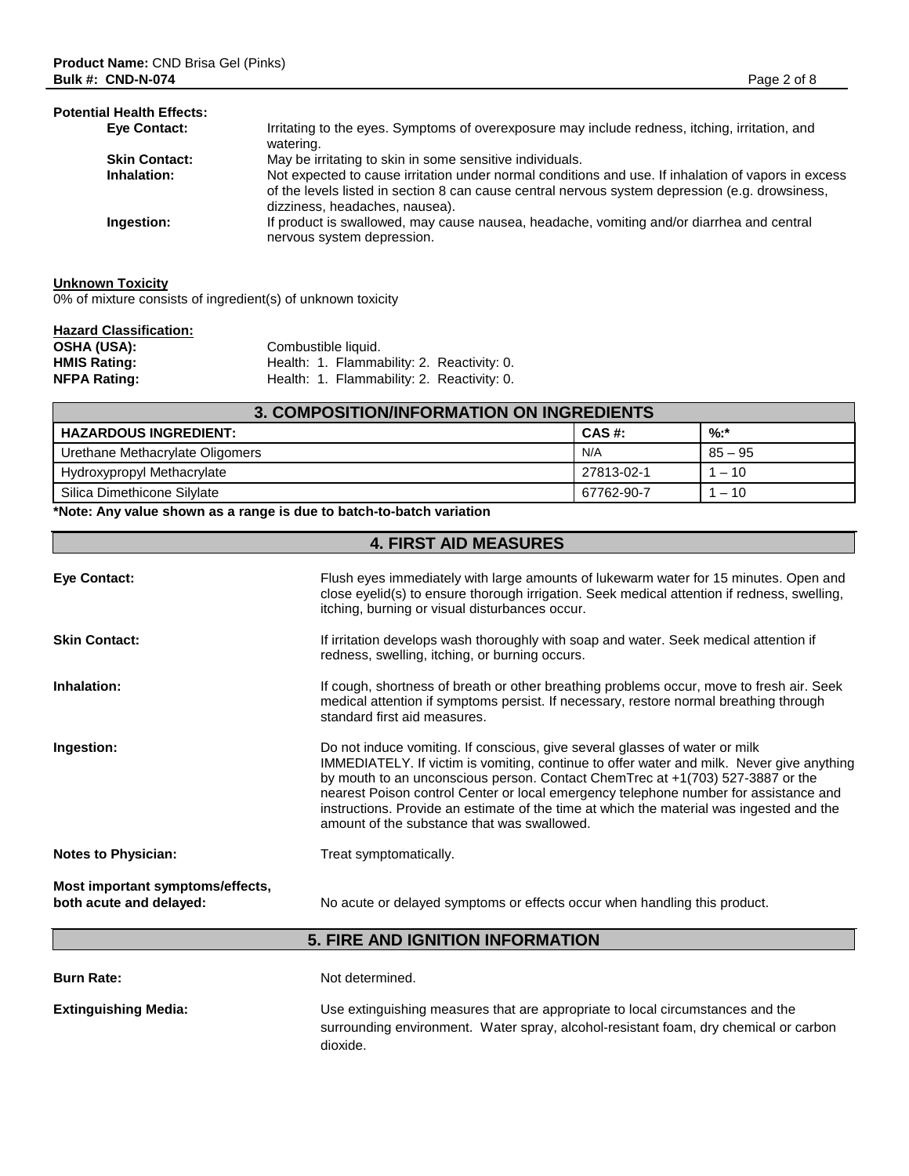## **Potential Health Effects:**

| Eye Contact:         | Irritating to the eyes. Symptoms of overexposure may include redness, itching, irritation, and<br>watering.                                                                                                                              |
|----------------------|------------------------------------------------------------------------------------------------------------------------------------------------------------------------------------------------------------------------------------------|
| <b>Skin Contact:</b> | May be irritating to skin in some sensitive individuals.                                                                                                                                                                                 |
| Inhalation:          | Not expected to cause irritation under normal conditions and use. If inhalation of vapors in excess<br>of the levels listed in section 8 can cause central nervous system depression (e.g. drowsiness,<br>dizziness, headaches, nausea). |
| Ingestion:           | If product is swallowed, may cause nausea, headache, vomiting and/or diarrhea and central<br>nervous system depression.                                                                                                                  |

# **Unknown Toxicity**

0% of mixture consists of ingredient(s) of unknown toxicity

| <b>Hazard Classification:</b> |                                            |
|-------------------------------|--------------------------------------------|
| <b>OSHA (USA):</b>            | Combustible liquid.                        |
| <b>HMIS Rating:</b>           | Health: 1. Flammability: 2. Reactivity: 0. |
| <b>NFPA Rating:</b>           | Health: 1. Flammability: 2. Reactivity: 0. |

| 3. COMPOSITION/INFORMATION ON INGREDIENTS |            |           |
|-------------------------------------------|------------|-----------|
| <b>HAZARDOUS INGREDIENT:</b>              | CAS #:     | $%:$ *    |
| Urethane Methacrylate Oligomers           | N/A        | $85 - 95$ |
| Hydroxypropyl Methacrylate                | 27813-02-1 | $1 - 10$  |
| Silica Dimethicone Silylate               | 67762-90-7 | $1 - 10$  |

## **\*Note: Any value shown as a range is due to batch-to-batch variation**

# **4. FIRST AID MEASURES**

| Eye Contact:                                                | Flush eyes immediately with large amounts of lukewarm water for 15 minutes. Open and<br>close eyelid(s) to ensure thorough irrigation. Seek medical attention if redness, swelling,<br>itching, burning or visual disturbances occur.                                                                                                                                                                                                                                                         |
|-------------------------------------------------------------|-----------------------------------------------------------------------------------------------------------------------------------------------------------------------------------------------------------------------------------------------------------------------------------------------------------------------------------------------------------------------------------------------------------------------------------------------------------------------------------------------|
| <b>Skin Contact:</b>                                        | If irritation develops wash thoroughly with soap and water. Seek medical attention if<br>redness, swelling, itching, or burning occurs.                                                                                                                                                                                                                                                                                                                                                       |
| Inhalation:                                                 | If cough, shortness of breath or other breathing problems occur, move to fresh air. Seek<br>medical attention if symptoms persist. If necessary, restore normal breathing through<br>standard first aid measures.                                                                                                                                                                                                                                                                             |
| Ingestion:                                                  | Do not induce vomiting. If conscious, give several glasses of water or milk<br>IMMEDIATELY. If victim is vomiting, continue to offer water and milk. Never give anything<br>by mouth to an unconscious person. Contact ChemTrec at +1(703) 527-3887 or the<br>nearest Poison control Center or local emergency telephone number for assistance and<br>instructions. Provide an estimate of the time at which the material was ingested and the<br>amount of the substance that was swallowed. |
| <b>Notes to Physician:</b>                                  | Treat symptomatically.                                                                                                                                                                                                                                                                                                                                                                                                                                                                        |
| Most important symptoms/effects,<br>both acute and delayed: | No acute or delayed symptoms or effects occur when handling this product.                                                                                                                                                                                                                                                                                                                                                                                                                     |

# **5. FIRE AND IGNITION INFORMATION**

| <b>Burn Rate:</b>           | Not determined.                                                                                                                                                                    |
|-----------------------------|------------------------------------------------------------------------------------------------------------------------------------------------------------------------------------|
| <b>Extinguishing Media:</b> | Use extinguishing measures that are appropriate to local circumstances and the<br>surrounding environment. Water spray, alcohol-resistant foam, dry chemical or carbon<br>dioxide. |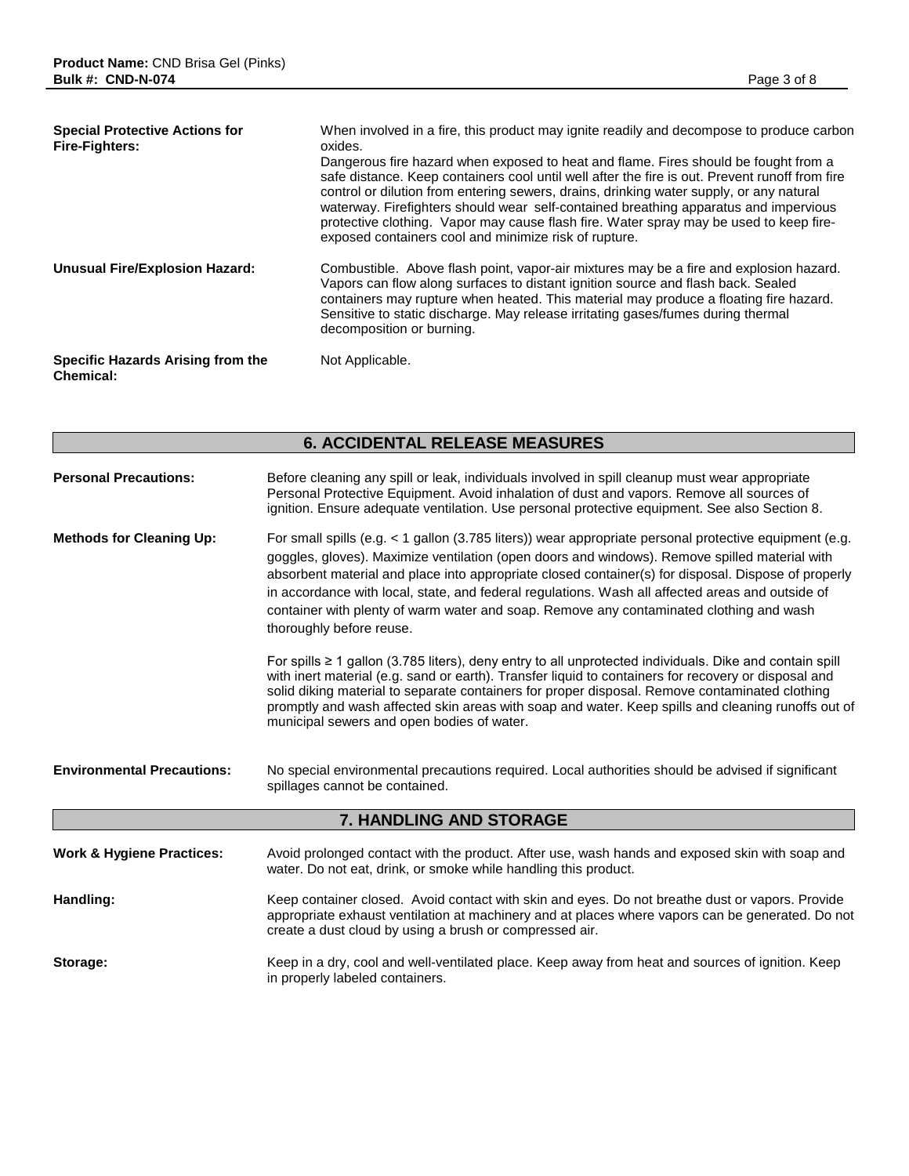| <b>Special Protective Actions for</b><br><b>Fire-Fighters:</b> | When involved in a fire, this product may ignite readily and decompose to produce carbon<br>oxides.                                                                                                                                                                                                                                                                                                                                                                                                                         |  |  |
|----------------------------------------------------------------|-----------------------------------------------------------------------------------------------------------------------------------------------------------------------------------------------------------------------------------------------------------------------------------------------------------------------------------------------------------------------------------------------------------------------------------------------------------------------------------------------------------------------------|--|--|
|                                                                | Dangerous fire hazard when exposed to heat and flame. Fires should be fought from a<br>safe distance. Keep containers cool until well after the fire is out. Prevent runoff from fire<br>control or dilution from entering sewers, drains, drinking water supply, or any natural<br>waterway. Firefighters should wear self-contained breathing apparatus and impervious<br>protective clothing. Vapor may cause flash fire. Water spray may be used to keep fire-<br>exposed containers cool and minimize risk of rupture. |  |  |
| Unusual Fire/Explosion Hazard:                                 | Combustible. Above flash point, vapor-air mixtures may be a fire and explosion hazard.<br>Vapors can flow along surfaces to distant ignition source and flash back. Sealed<br>containers may rupture when heated. This material may produce a floating fire hazard.<br>Sensitive to static discharge. May release irritating gases/fumes during thermal<br>decomposition or burning.                                                                                                                                        |  |  |
| Specific Hazards Arising from the<br><b>Chemical:</b>          | Not Applicable.                                                                                                                                                                                                                                                                                                                                                                                                                                                                                                             |  |  |

# **6. ACCIDENTAL RELEASE MEASURES**

| <b>Personal Precautions:</b>         | Before cleaning any spill or leak, individuals involved in spill cleanup must wear appropriate<br>Personal Protective Equipment. Avoid inhalation of dust and vapors. Remove all sources of<br>ignition. Ensure adequate ventilation. Use personal protective equipment. See also Section 8.                                                                                                                                                                                                                                              |  |
|--------------------------------------|-------------------------------------------------------------------------------------------------------------------------------------------------------------------------------------------------------------------------------------------------------------------------------------------------------------------------------------------------------------------------------------------------------------------------------------------------------------------------------------------------------------------------------------------|--|
| <b>Methods for Cleaning Up:</b>      | For small spills (e.g. < 1 gallon (3.785 liters)) wear appropriate personal protective equipment (e.g.<br>goggles, gloves). Maximize ventilation (open doors and windows). Remove spilled material with<br>absorbent material and place into appropriate closed container(s) for disposal. Dispose of properly<br>in accordance with local, state, and federal regulations. Wash all affected areas and outside of<br>container with plenty of warm water and soap. Remove any contaminated clothing and wash<br>thoroughly before reuse. |  |
|                                      | For spills $\geq 1$ gallon (3.785 liters), deny entry to all unprotected individuals. Dike and contain spill<br>with inert material (e.g. sand or earth). Transfer liquid to containers for recovery or disposal and<br>solid diking material to separate containers for proper disposal. Remove contaminated clothing<br>promptly and wash affected skin areas with soap and water. Keep spills and cleaning runoffs out of<br>municipal sewers and open bodies of water.                                                                |  |
| <b>Environmental Precautions:</b>    | No special environmental precautions required. Local authorities should be advised if significant<br>spillages cannot be contained.                                                                                                                                                                                                                                                                                                                                                                                                       |  |
| 7. HANDLING AND STORAGE              |                                                                                                                                                                                                                                                                                                                                                                                                                                                                                                                                           |  |
| <b>Work &amp; Hygiene Practices:</b> | Avoid prolonged contact with the product. After use, wash hands and exposed skin with soap and<br>water. Do not eat, drink, or smoke while handling this product.                                                                                                                                                                                                                                                                                                                                                                         |  |
| Handling:                            | Keep container closed. Avoid contact with skin and eyes. Do not breathe dust or vapors. Provide<br>appropriate exhaust ventilation at machinery and at places where vapors can be generated. Do not<br>create a dust cloud by using a brush or compressed air.                                                                                                                                                                                                                                                                            |  |
| Storage:                             | Keep in a dry, cool and well-ventilated place. Keep away from heat and sources of ignition. Keep<br>in properly labeled containers.                                                                                                                                                                                                                                                                                                                                                                                                       |  |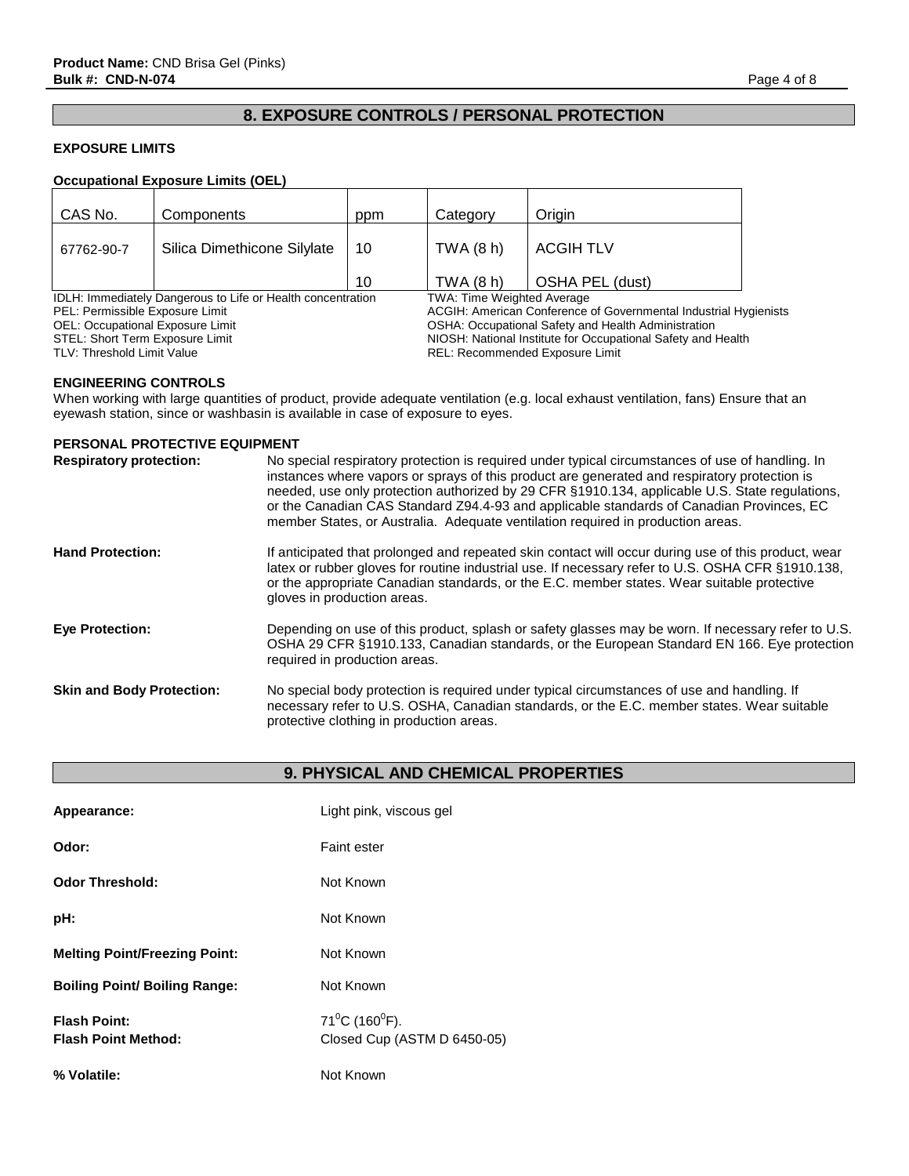# **8. EXPOSURE CONTROLS / PERSONAL PROTECTION**

## **EXPOSURE LIMITS**

## **Occupational Exposure Limits (OEL)**

| CAS No.                                                     | Components                  | ppm                                                          | Category                                                         | Origin           |  |
|-------------------------------------------------------------|-----------------------------|--------------------------------------------------------------|------------------------------------------------------------------|------------------|--|
| 67762-90-7                                                  | Silica Dimethicone Silylate | 10                                                           | TWA(8h)                                                          | <b>ACGIH TLV</b> |  |
|                                                             |                             | 10                                                           | TWA (8 h)                                                        | OSHA PEL (dust)  |  |
| IDLH: Immediately Dangerous to Life or Health concentration |                             |                                                              | <b>TWA: Time Weighted Average</b>                                |                  |  |
| PEL: Permissible Exposure Limit                             |                             |                                                              | ACGIH: American Conference of Governmental Industrial Hygienists |                  |  |
| OEL: Occupational Exposure Limit                            |                             | OSHA: Occupational Safety and Health Administration          |                                                                  |                  |  |
| STEL: Short Term Exposure Limit                             |                             | NIOSH: National Institute for Occupational Safety and Health |                                                                  |                  |  |
| TLV: Threshold Limit Value                                  |                             |                                                              | <b>REL: Recommended Exposure Limit</b>                           |                  |  |

## **ENGINEERING CONTROLS**

When working with large quantities of product, provide adequate ventilation (e.g. local exhaust ventilation, fans) Ensure that an eyewash station, since or washbasin is available in case of exposure to eyes.

#### **PERSONAL PROTECTIVE EQUIPMENT**

| <b>Respiratory protection:</b>   | No special respiratory protection is required under typical circumstances of use of handling. In<br>instances where vapors or sprays of this product are generated and respiratory protection is<br>needed, use only protection authorized by 29 CFR §1910.134, applicable U.S. State regulations,<br>or the Canadian CAS Standard Z94.4-93 and applicable standards of Canadian Provinces, EC<br>member States, or Australia. Adequate ventilation required in production areas. |
|----------------------------------|-----------------------------------------------------------------------------------------------------------------------------------------------------------------------------------------------------------------------------------------------------------------------------------------------------------------------------------------------------------------------------------------------------------------------------------------------------------------------------------|
| <b>Hand Protection:</b>          | If anticipated that prolonged and repeated skin contact will occur during use of this product, wear<br>latex or rubber gloves for routine industrial use. If necessary refer to U.S. OSHA CFR §1910.138,<br>or the appropriate Canadian standards, or the E.C. member states. Wear suitable protective<br>gloves in production areas.                                                                                                                                             |
| <b>Eye Protection:</b>           | Depending on use of this product, splash or safety glasses may be worn. If necessary refer to U.S.<br>OSHA 29 CFR §1910.133, Canadian standards, or the European Standard EN 166. Eye protection<br>required in production areas.                                                                                                                                                                                                                                                 |
| <b>Skin and Body Protection:</b> | No special body protection is required under typical circumstances of use and handling. If<br>necessary refer to U.S. OSHA, Canadian standards, or the E.C. member states. Wear suitable<br>protective clothing in production areas.                                                                                                                                                                                                                                              |

## **9. PHYSICAL AND CHEMICAL PROPERTIES**

| Appearance:                                       | Light pink, viscous gel                              |
|---------------------------------------------------|------------------------------------------------------|
| Odor:                                             | <b>Faint ester</b>                                   |
| <b>Odor Threshold:</b>                            | Not Known                                            |
| pH:                                               | Not Known                                            |
| <b>Melting Point/Freezing Point:</b>              | Not Known                                            |
| <b>Boiling Point/ Boiling Range:</b>              | Not Known                                            |
| <b>Flash Point:</b><br><b>Flash Point Method:</b> | $71^0C$ (160 $^0F$ ).<br>Closed Cup (ASTM D 6450-05) |
| % Volatile:                                       | Not Known                                            |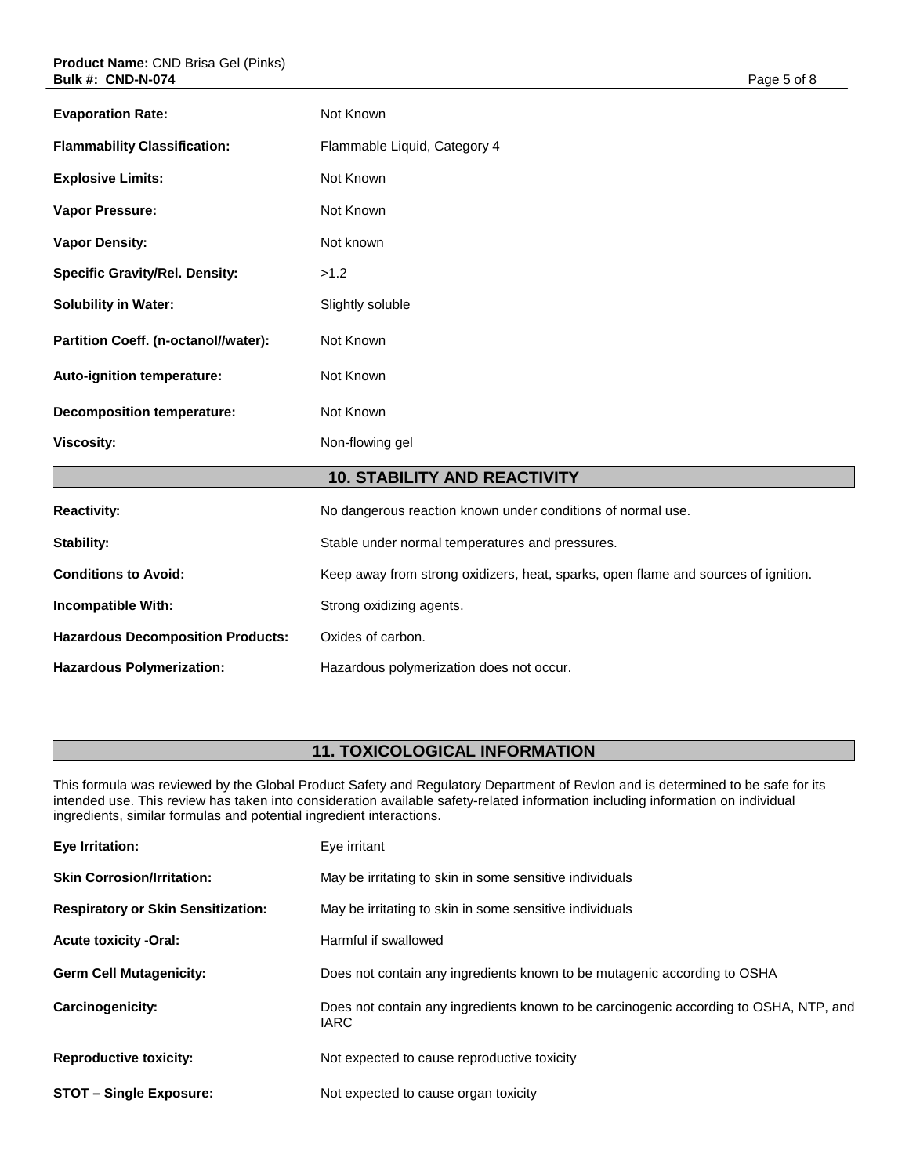| <b>Evaporation Rate:</b>                 | Not Known                                                                          |  |
|------------------------------------------|------------------------------------------------------------------------------------|--|
| <b>Flammability Classification:</b>      | Flammable Liquid, Category 4                                                       |  |
| <b>Explosive Limits:</b>                 | Not Known                                                                          |  |
| Vapor Pressure:                          | Not Known                                                                          |  |
| <b>Vapor Density:</b>                    | Not known                                                                          |  |
| <b>Specific Gravity/Rel. Density:</b>    | >1.2                                                                               |  |
| <b>Solubility in Water:</b>              | Slightly soluble                                                                   |  |
| Partition Coeff. (n-octanol//water):     | Not Known                                                                          |  |
| Auto-ignition temperature:               | Not Known                                                                          |  |
| <b>Decomposition temperature:</b>        | Not Known                                                                          |  |
| <b>Viscosity:</b>                        | Non-flowing gel                                                                    |  |
| <b>10. STABILITY AND REACTIVITY</b>      |                                                                                    |  |
| <b>Reactivity:</b>                       | No dangerous reaction known under conditions of normal use.                        |  |
| <b>Stability:</b>                        | Stable under normal temperatures and pressures.                                    |  |
| <b>Conditions to Avoid:</b>              | Keep away from strong oxidizers, heat, sparks, open flame and sources of ignition. |  |
| Incompatible With:                       | Strong oxidizing agents.                                                           |  |
| <b>Hazardous Decomposition Products:</b> | Oxides of carbon.                                                                  |  |
| <b>Hazardous Polymerization:</b>         | Hazardous polymerization does not occur.                                           |  |

# **11. TOXICOLOGICAL INFORMATION**

This formula was reviewed by the Global Product Safety and Regulatory Department of Revlon and is determined to be safe for its intended use. This review has taken into consideration available safety-related information including information on individual ingredients, similar formulas and potential ingredient interactions.

| Eye Irritation:                           | Eye irritant                                                                                         |  |  |  |
|-------------------------------------------|------------------------------------------------------------------------------------------------------|--|--|--|
| <b>Skin Corrosion/Irritation:</b>         | May be irritating to skin in some sensitive individuals                                              |  |  |  |
| <b>Respiratory or Skin Sensitization:</b> | May be irritating to skin in some sensitive individuals                                              |  |  |  |
| <b>Acute toxicity -Oral:</b>              | Harmful if swallowed                                                                                 |  |  |  |
| <b>Germ Cell Mutagenicity:</b>            | Does not contain any ingredients known to be mutagenic according to OSHA                             |  |  |  |
| <b>Carcinogenicity:</b>                   | Does not contain any ingredients known to be carcinogenic according to OSHA, NTP, and<br><b>IARC</b> |  |  |  |
| <b>Reproductive toxicity:</b>             | Not expected to cause reproductive toxicity                                                          |  |  |  |
| <b>STOT - Single Exposure:</b>            | Not expected to cause organ toxicity                                                                 |  |  |  |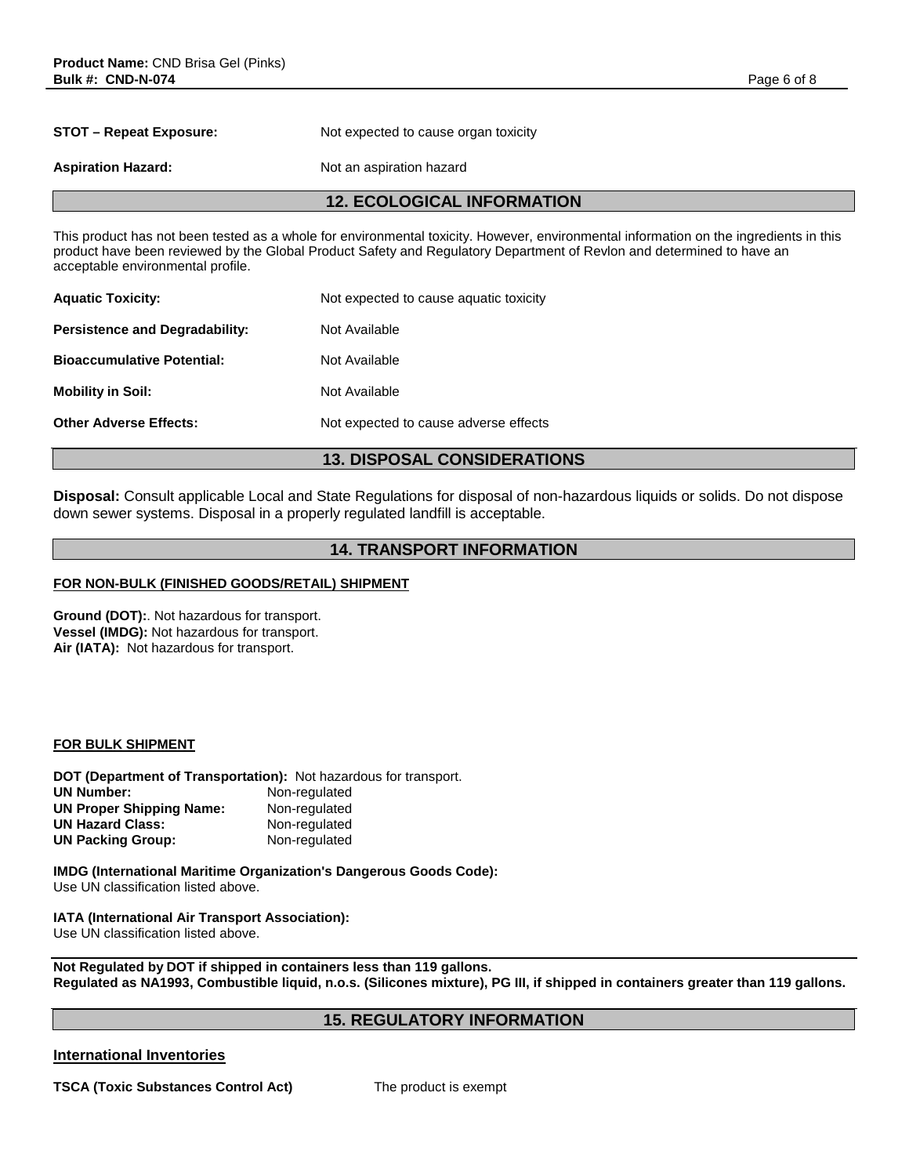**STOT – Repeat Exposure:** Not expected to cause organ toxicity

**Aspiration Hazard:** Not an aspiration hazard

## **12. ECOLOGICAL INFORMATION**

This product has not been tested as a whole for environmental toxicity. However, environmental information on the ingredients in this product have been reviewed by the Global Product Safety and Regulatory Department of Revlon and determined to have an acceptable environmental profile.

| <b>Aquatic Toxicity:</b>              | Not expected to cause aquatic toxicity |  |  |  |
|---------------------------------------|----------------------------------------|--|--|--|
| <b>Persistence and Degradability:</b> | Not Available                          |  |  |  |
| <b>Bioaccumulative Potential:</b>     | Not Available                          |  |  |  |
| <b>Mobility in Soil:</b>              | Not Available                          |  |  |  |
| <b>Other Adverse Effects:</b>         | Not expected to cause adverse effects  |  |  |  |
|                                       |                                        |  |  |  |

## **13. DISPOSAL CONSIDERATIONS**

**Disposal:** Consult applicable Local and State Regulations for disposal of non-hazardous liquids or solids. Do not dispose down sewer systems. Disposal in a properly regulated landfill is acceptable.

## **14. TRANSPORT INFORMATION**

### **FOR NON-BULK (FINISHED GOODS/RETAIL) SHIPMENT**

**Ground (DOT):**. Not hazardous for transport. **Vessel (IMDG):** Not hazardous for transport. **Air (IATA):** Not hazardous for transport.

#### **FOR BULK SHIPMENT**

**DOT (Department of Transportation):** Not hazardous for transport. **Non-regulated UN Proper Shipping Name:** Non-regulated<br>
UN Hazard Class: Non-regulated **UN Hazard Class: Non-regulated**<br> **UN Packing Group: Non-regulated UN Packing Group:** 

**IMDG (International Maritime Organization's Dangerous Goods Code):** Use UN classification listed above.

**IATA (International Air Transport Association):** Use UN classification listed above.

**Not Regulated by DOT if shipped in containers less than 119 gallons. Regulated as NA1993, Combustible liquid, n.o.s. (Silicones mixture), PG III, if shipped in containers greater than 119 gallons.** 

## **15. REGULATORY INFORMATION**

## **International Inventories**

**TSCA (Toxic Substances Control Act)** The product is exempt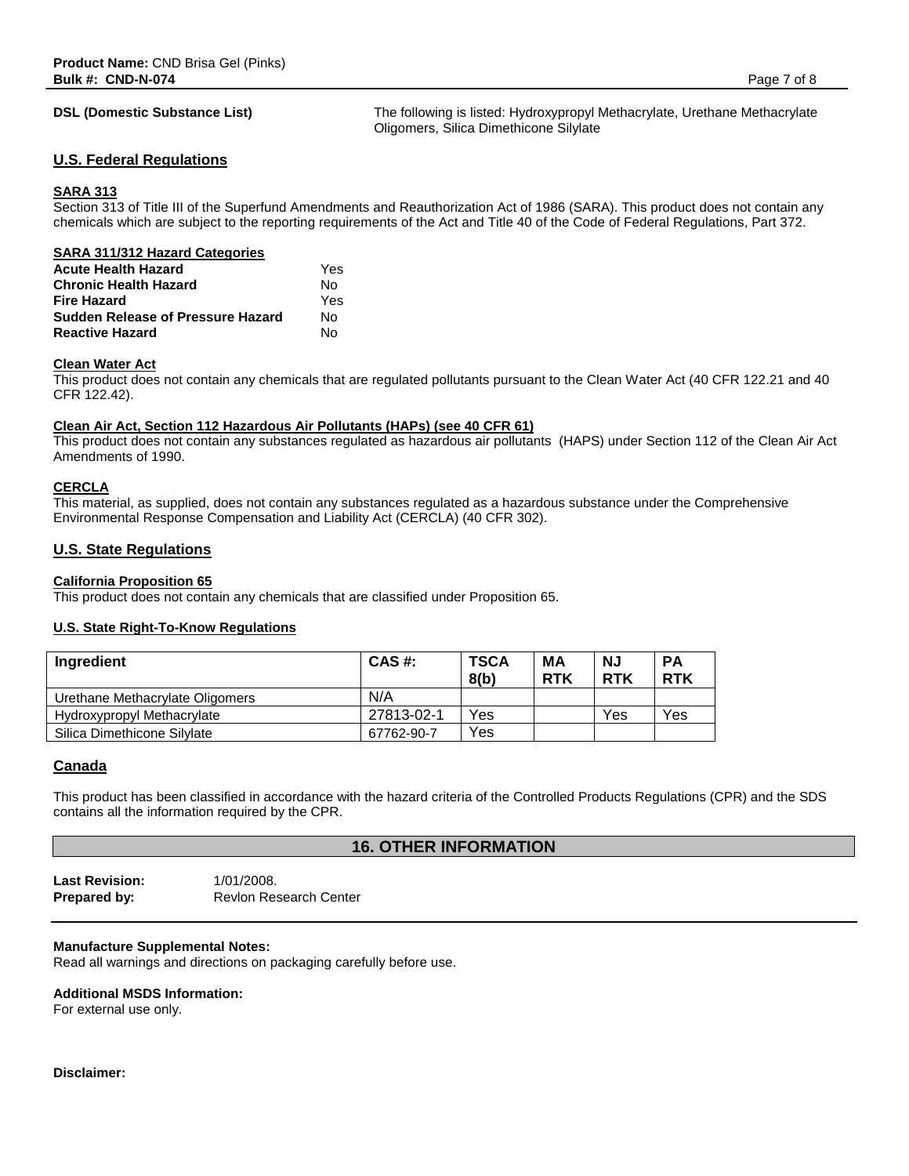**DSL (Domestic Substance List)** The following is listed: Hydroxypropyl Methacrylate, Urethane Methacrylate Oligomers, Silica Dimethicone Silylate

#### **U.S. Federal Regulations**

#### **SARA 313**

Section 313 of Title III of the Superfund Amendments and Reauthorization Act of 1986 (SARA). This product does not contain any chemicals which are subject to the reporting requirements of the Act and Title 40 of the Code of Federal Regulations, Part 372.

| <b>SARA 311/312 Hazard Categories</b>    |     |
|------------------------------------------|-----|
| <b>Acute Health Hazard</b>               | Yes |
| <b>Chronic Health Hazard</b>             | N٥  |
| <b>Fire Hazard</b>                       | Yes |
| <b>Sudden Release of Pressure Hazard</b> | N٥  |
| <b>Reactive Hazard</b>                   | N٥  |

#### **Clean Water Act**

This product does not contain any chemicals that are regulated pollutants pursuant to the Clean Water Act (40 CFR 122.21 and 40 CFR 122.42).

#### **Clean Air Act, Section 112 Hazardous Air Pollutants (HAPs) (see 40 CFR 61)**

This product does not contain any substances regulated as hazardous air pollutants (HAPS) under Section 112 of the Clean Air Act Amendments of 1990.

#### **CERCLA**

This material, as supplied, does not contain any substances regulated as a hazardous substance under the Comprehensive Environmental Response Compensation and Liability Act (CERCLA) (40 CFR 302).

#### **U.S. State Regulations**

**California Proposition 65** This product does not contain any chemicals that are classified under Proposition 65.

#### **U.S. State Right-To-Know Regulations**

| Ingredient                      | CAS #:     | <b>TSCA</b><br>8(b) | MА<br><b>RTK</b> | <b>NJ</b><br><b>RTK</b> | <b>PA</b><br><b>RTK</b> |
|---------------------------------|------------|---------------------|------------------|-------------------------|-------------------------|
| Urethane Methacrylate Oligomers | N/A        |                     |                  |                         |                         |
| Hydroxypropyl Methacrylate      | 27813-02-1 | Yes                 |                  | Yes                     | Yes                     |
| Silica Dimethicone Silvlate     | 67762-90-7 | Yes                 |                  |                         |                         |

#### **Canada**

This product has been classified in accordance with the hazard criteria of the Controlled Products Regulations (CPR) and the SDS contains all the information required by the CPR.

### **16. OTHER INFORMATION**

**Last Revision:** 1/01/2008. **Prepared by:** Revlon Research Center

#### **Manufacture Supplemental Notes:**

Read all warnings and directions on packaging carefully before use.

#### **Additional MSDS Information:**

For external use only.

#### **Disclaimer:**